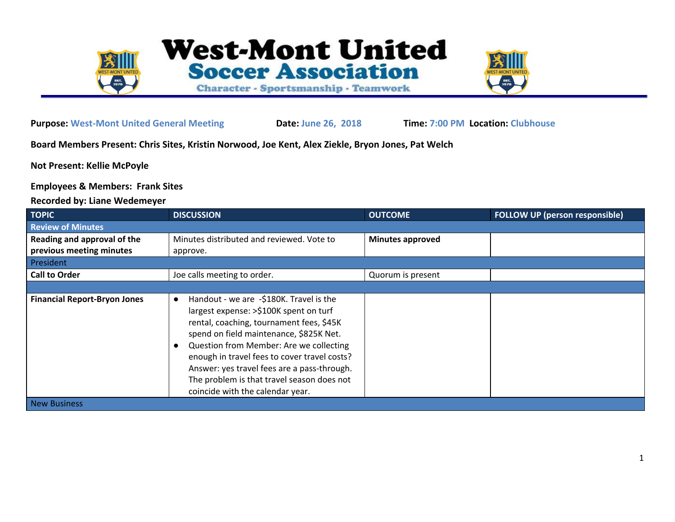

## **Purpose: West-Mont United General Meeting Date: June 26, 2018 Time: 7:00 PM Location: Clubhouse**

**Board Members Present: Chris Sites, Kristin Norwood, Joe Kent, Alex Ziekle, Bryon Jones, Pat Welch**

**Not Present: Kellie McPoyle**

**Employees & Members: Frank Sites**

## **Recorded by: Liane Wedemeyer**

| <b>TOPIC</b>                        | <b>DISCUSSION</b>                                                                                                                                                                                                                                                                                                                                                                                    | <b>OUTCOME</b>          | <b>FOLLOW UP (person responsible)</b> |
|-------------------------------------|------------------------------------------------------------------------------------------------------------------------------------------------------------------------------------------------------------------------------------------------------------------------------------------------------------------------------------------------------------------------------------------------------|-------------------------|---------------------------------------|
| <b>Review of Minutes</b>            |                                                                                                                                                                                                                                                                                                                                                                                                      |                         |                                       |
| Reading and approval of the         | Minutes distributed and reviewed. Vote to                                                                                                                                                                                                                                                                                                                                                            | <b>Minutes approved</b> |                                       |
| previous meeting minutes            | approve.                                                                                                                                                                                                                                                                                                                                                                                             |                         |                                       |
| President                           |                                                                                                                                                                                                                                                                                                                                                                                                      |                         |                                       |
| <b>Call to Order</b>                | Joe calls meeting to order.                                                                                                                                                                                                                                                                                                                                                                          | Quorum is present       |                                       |
|                                     |                                                                                                                                                                                                                                                                                                                                                                                                      |                         |                                       |
| <b>Financial Report-Bryon Jones</b> | Handout - we are -\$180K. Travel is the<br>largest expense: >\$100K spent on turf<br>rental, coaching, tournament fees, \$45K<br>spend on field maintenance, \$825K Net.<br>Question from Member: Are we collecting<br>enough in travel fees to cover travel costs?<br>Answer: yes travel fees are a pass-through.<br>The problem is that travel season does not<br>coincide with the calendar year. |                         |                                       |
| <b>New Business</b>                 |                                                                                                                                                                                                                                                                                                                                                                                                      |                         |                                       |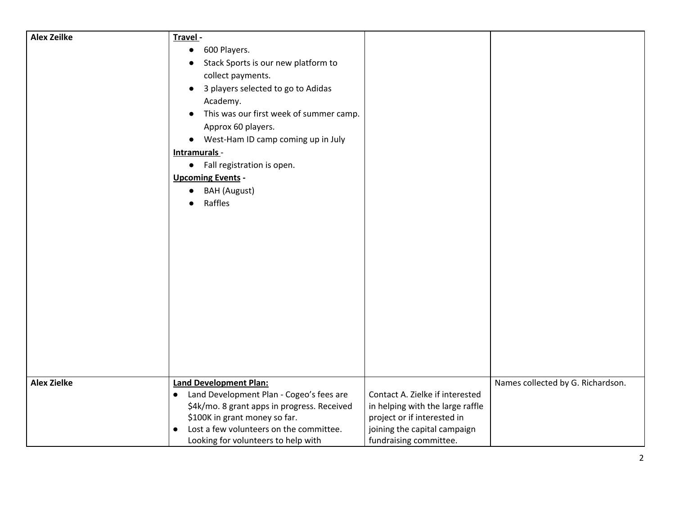| <b>Alex Zeilke</b> | Travel-                                                                                |                                  |                                   |
|--------------------|----------------------------------------------------------------------------------------|----------------------------------|-----------------------------------|
|                    | 600 Players.<br>$\bullet$                                                              |                                  |                                   |
|                    | Stack Sports is our new platform to<br>$\bullet$                                       |                                  |                                   |
|                    | collect payments.                                                                      |                                  |                                   |
|                    | 3 players selected to go to Adidas<br>$\bullet$                                        |                                  |                                   |
|                    | Academy.                                                                               |                                  |                                   |
|                    | This was our first week of summer camp.                                                |                                  |                                   |
|                    |                                                                                        |                                  |                                   |
|                    | Approx 60 players.                                                                     |                                  |                                   |
|                    | • West-Ham ID camp coming up in July                                                   |                                  |                                   |
|                    | Intramurals -                                                                          |                                  |                                   |
|                    | • Fall registration is open.                                                           |                                  |                                   |
|                    | <b>Upcoming Events -</b>                                                               |                                  |                                   |
|                    | BAH (August)<br>$\bullet$                                                              |                                  |                                   |
|                    | Raffles                                                                                |                                  |                                   |
|                    |                                                                                        |                                  |                                   |
|                    |                                                                                        |                                  |                                   |
|                    |                                                                                        |                                  |                                   |
|                    |                                                                                        |                                  |                                   |
|                    |                                                                                        |                                  |                                   |
|                    |                                                                                        |                                  |                                   |
|                    |                                                                                        |                                  |                                   |
|                    |                                                                                        |                                  |                                   |
|                    |                                                                                        |                                  |                                   |
|                    |                                                                                        |                                  |                                   |
|                    |                                                                                        |                                  |                                   |
|                    |                                                                                        |                                  |                                   |
|                    |                                                                                        |                                  |                                   |
|                    |                                                                                        |                                  |                                   |
| <b>Alex Zielke</b> | <b>Land Development Plan:</b><br>Land Development Plan - Cogeo's fees are<br>$\bullet$ | Contact A. Zielke if interested  | Names collected by G. Richardson. |
|                    | \$4k/mo. 8 grant apps in progress. Received                                            | in helping with the large raffle |                                   |
|                    | \$100K in grant money so far.                                                          | project or if interested in      |                                   |
|                    | Lost a few volunteers on the committee.<br>$\bullet$                                   | joining the capital campaign     |                                   |
|                    | Looking for volunteers to help with                                                    | fundraising committee.           |                                   |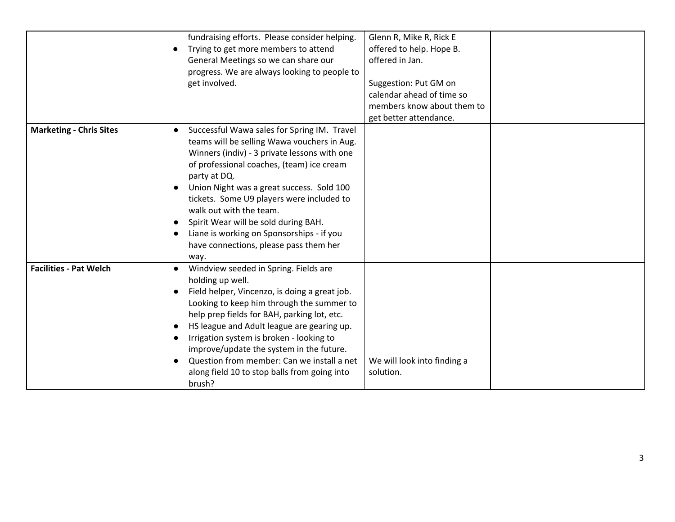|                                | fundraising efforts. Please consider helping.<br>Glenn R, Mike R, Rick E  |
|--------------------------------|---------------------------------------------------------------------------|
|                                | Trying to get more members to attend<br>offered to help. Hope B.          |
|                                | General Meetings so we can share our<br>offered in Jan.                   |
|                                |                                                                           |
|                                | progress. We are always looking to people to                              |
|                                | get involved.<br>Suggestion: Put GM on                                    |
|                                | calendar ahead of time so                                                 |
|                                | members know about them to                                                |
|                                | get better attendance.                                                    |
| <b>Marketing - Chris Sites</b> | Successful Wawa sales for Spring IM. Travel<br>$\bullet$                  |
|                                | teams will be selling Wawa vouchers in Aug.                               |
|                                | Winners (indiv) - 3 private lessons with one                              |
|                                | of professional coaches, (team) ice cream                                 |
|                                | party at DQ.                                                              |
|                                | Union Night was a great success. Sold 100                                 |
|                                | tickets. Some U9 players were included to                                 |
|                                | walk out with the team.                                                   |
|                                | Spirit Wear will be sold during BAH.                                      |
|                                | Liane is working on Sponsorships - if you<br>$\bullet$                    |
|                                |                                                                           |
|                                | have connections, please pass them her                                    |
|                                | way.                                                                      |
| <b>Facilities - Pat Welch</b>  | Windview seeded in Spring. Fields are<br>$\bullet$                        |
|                                | holding up well.                                                          |
|                                | Field helper, Vincenzo, is doing a great job.<br>$\bullet$                |
|                                | Looking to keep him through the summer to                                 |
|                                | help prep fields for BAH, parking lot, etc.                               |
|                                | HS league and Adult league are gearing up.                                |
|                                | Irrigation system is broken - looking to<br>$\bullet$                     |
|                                | improve/update the system in the future.                                  |
|                                | Question from member: Can we install a net<br>We will look into finding a |
|                                | along field 10 to stop balls from going into<br>solution.                 |
|                                | brush?                                                                    |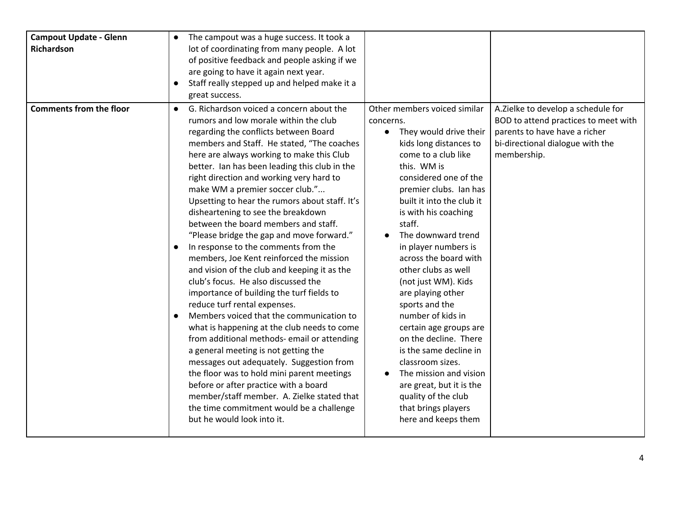| <b>Campout Update - Glenn</b><br><b>Richardson</b> | The campout was a huge success. It took a<br>lot of coordinating from many people. A lot<br>of positive feedback and people asking if we<br>are going to have it again next year.<br>Staff really stepped up and helped make it a<br>$\bullet$<br>great success.                                                                                                                                                                                                                                                                                                                                                                                                                                                                                                                                                                                                                                                                                                                                                                                                                                                                                                                                                                                                 |                                                                                                                                                                                                                                                                                                                                                                                                                                                                                                                                                                                                                                                                                 |                                                                                                                                                                |
|----------------------------------------------------|------------------------------------------------------------------------------------------------------------------------------------------------------------------------------------------------------------------------------------------------------------------------------------------------------------------------------------------------------------------------------------------------------------------------------------------------------------------------------------------------------------------------------------------------------------------------------------------------------------------------------------------------------------------------------------------------------------------------------------------------------------------------------------------------------------------------------------------------------------------------------------------------------------------------------------------------------------------------------------------------------------------------------------------------------------------------------------------------------------------------------------------------------------------------------------------------------------------------------------------------------------------|---------------------------------------------------------------------------------------------------------------------------------------------------------------------------------------------------------------------------------------------------------------------------------------------------------------------------------------------------------------------------------------------------------------------------------------------------------------------------------------------------------------------------------------------------------------------------------------------------------------------------------------------------------------------------------|----------------------------------------------------------------------------------------------------------------------------------------------------------------|
| <b>Comments from the floor</b>                     | G. Richardson voiced a concern about the<br>$\bullet$<br>rumors and low morale within the club<br>regarding the conflicts between Board<br>members and Staff. He stated, "The coaches<br>here are always working to make this Club<br>better. Ian has been leading this club in the<br>right direction and working very hard to<br>make WM a premier soccer club."<br>Upsetting to hear the rumors about staff. It's<br>disheartening to see the breakdown<br>between the board members and staff.<br>"Please bridge the gap and move forward."<br>In response to the comments from the<br>members, Joe Kent reinforced the mission<br>and vision of the club and keeping it as the<br>club's focus. He also discussed the<br>importance of building the turf fields to<br>reduce turf rental expenses.<br>Members voiced that the communication to<br>$\bullet$<br>what is happening at the club needs to come<br>from additional methods-email or attending<br>a general meeting is not getting the<br>messages out adequately. Suggestion from<br>the floor was to hold mini parent meetings<br>before or after practice with a board<br>member/staff member. A. Zielke stated that<br>the time commitment would be a challenge<br>but he would look into it. | Other members voiced similar<br>concerns.<br>They would drive their<br>$\bullet$<br>kids long distances to<br>come to a club like<br>this. WM is<br>considered one of the<br>premier clubs. Ian has<br>built it into the club it<br>is with his coaching<br>staff.<br>The downward trend<br>in player numbers is<br>across the board with<br>other clubs as well<br>(not just WM). Kids<br>are playing other<br>sports and the<br>number of kids in<br>certain age groups are<br>on the decline. There<br>is the same decline in<br>classroom sizes.<br>The mission and vision<br>are great, but it is the<br>quality of the club<br>that brings players<br>here and keeps them | A.Zielke to develop a schedule for<br>BOD to attend practices to meet with<br>parents to have have a richer<br>bi-directional dialogue with the<br>membership. |